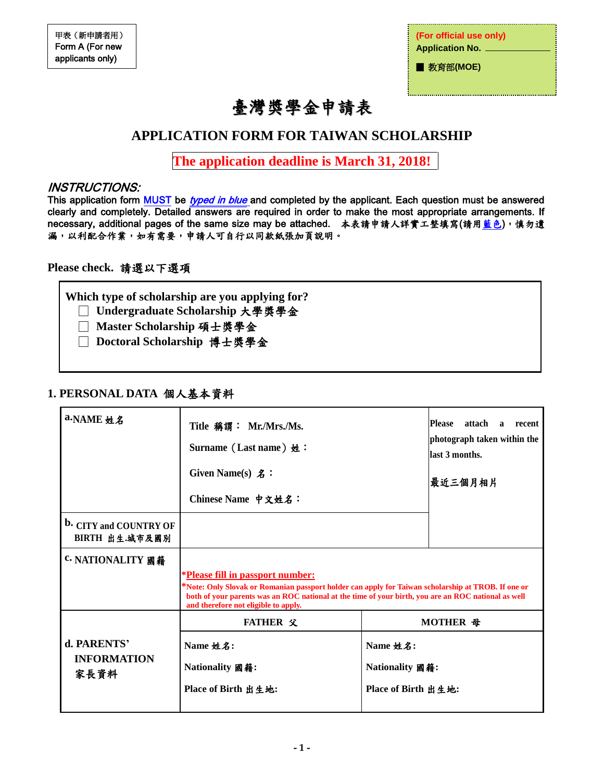**(For official use only) Application No.** 

■ 教育部(MOE)

# 臺灣獎學金申請表

# **APPLICATION FORM FOR TAIWAN SCHOLARSHIP**

**The application deadline is March 31, 2018!**

### INSTRUCTIONS:

This application form MUST be typed in blue and completed by the applicant. Each question must be answered clearly and completely. Detailed answers are required in order to make the most appropriate arrangements. If necessary, additional pages of the same size may be attached. 本表請申請人詳實工整填寫(請用藍色),慎勿遺 漏,以利配合作業,如有需要,申請人可自行以同款紙張加頁說明。

### **Please check.** 請選以下選項

**Which type of scholarship are you applying for?**

- □ **Undergraduate Scholarship** 大學獎學金
- □ **Master Scholarship** 碩士獎學金
- □ **Doctoral Scholarship** 博士獎學金

## **1. PERSONAL DATA** 個人基本資料

| a.NAME 姓名                                       | Title 稱謂: Mr./Mrs./Ms.<br>Surname (Last name) $\#$ :<br>Given Name(s) $\pmb{\mathcal{Z}}$ :<br>Chinese Name 中文姓名:                                                                                                                                                                           | <b>Please</b><br>attach<br>$\mathbf{a}$<br>recent<br>photograph taken within the<br>llast 3 months.<br>最近三個月相片 |          |
|-------------------------------------------------|---------------------------------------------------------------------------------------------------------------------------------------------------------------------------------------------------------------------------------------------------------------------------------------------|----------------------------------------------------------------------------------------------------------------|----------|
| <b>b.</b> CITY and COUNTRY OF<br>BIRTH 出生.城市及國別 |                                                                                                                                                                                                                                                                                             |                                                                                                                |          |
| <b>C. NATIONALITY 國籍</b>                        | <i>*Please fill in passport number:</i><br>Note: Only Slovak or Romanian passport holder can apply for Taiwan scholarship at TROB. If one or<br>both of your parents was an ROC national at the time of your birth, you are an ROC national as well<br>and therefore not eligible to apply. |                                                                                                                |          |
|                                                 | <b>FATHER 父</b>                                                                                                                                                                                                                                                                             |                                                                                                                | MOTHER 母 |
| d. PARENTS'<br><b>INFORMATION</b><br>家長資料       | Name 姓名:<br>Nationality 國籍:<br>Place of Birth 出生地:                                                                                                                                                                                                                                          | Name 姓名:<br>Nationality 國籍:<br>Place of Birth 出生地:                                                             |          |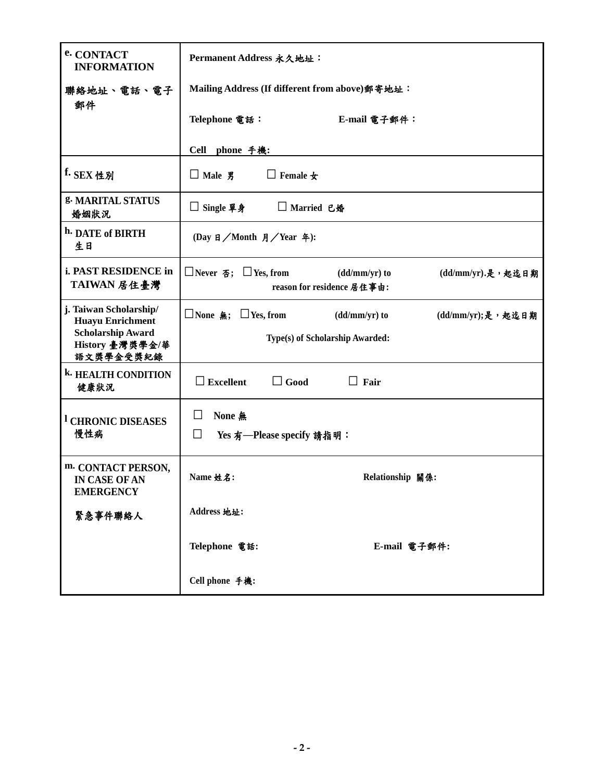| e. CONTACT<br><b>INFORMATION</b>                         | Permanent Address 永久地址:                                                                                                 |  |  |  |  |
|----------------------------------------------------------|-------------------------------------------------------------------------------------------------------------------------|--|--|--|--|
| 聯絡地址、電話、電子<br>郵件                                         | Mailing Address (If different from above) 郵寄地址:                                                                         |  |  |  |  |
|                                                          | Telephone 電話:<br>E-mail 電子郵件:                                                                                           |  |  |  |  |
|                                                          | Cell phone 手機:                                                                                                          |  |  |  |  |
| f. SEX 性別                                                | $\Box$ Male $\overline{g}$<br>$\Box$ Female $\bigstar$                                                                  |  |  |  |  |
| g. MARITAL STATUS<br>婚姻狀況                                | □ Single 單身<br>□ Married 已婚                                                                                             |  |  |  |  |
| h. DATE of BIRTH<br>生日                                   | (Day 日/Month 月/Year 年):                                                                                                 |  |  |  |  |
| i. PAST RESIDENCE in<br>TAIWAN 居住臺灣                      | $\Box$ Never $\overline{\Phi}$ ; $\Box$ Yes, from<br>$(dd/mm/yr)$ to<br>(dd/mm/yr).是,起迄日期<br>reason for residence 居住事由: |  |  |  |  |
| j. Taiwan Scholarship/<br><b>Huayu Enrichment</b>        | □None 無; □Yes, from<br>$(dd/mm/yr)$ to<br>(dd/mm/yr);是,起迄日期                                                             |  |  |  |  |
| <b>Scholarship Award</b><br>History 臺灣獎學金/華<br>語文獎學金受獎紀錄 | Type(s) of Scholarship Awarded:                                                                                         |  |  |  |  |
| <b>k. HEALTH CONDITION</b><br>健康狀況                       | $\Box$ Excellent<br>$\Box$ Good<br>$\Box$ Fair                                                                          |  |  |  |  |
| <sup>1</sup> CHRONIC DISEASES                            | None 無<br>⊔                                                                                                             |  |  |  |  |
| 慢性病                                                      | $\Box$<br>Yes 有--Please specify 請指明:                                                                                    |  |  |  |  |
| m. CONTACT PERSON,<br>IN CASE OF AN<br><b>EMERGENCY</b>  | Name 姓名:<br>Relationship 關係:                                                                                            |  |  |  |  |
| 緊急事件聯絡人                                                  | Address 地址:                                                                                                             |  |  |  |  |
|                                                          | Telephone 電話:<br>E-mail 電子郵件:                                                                                           |  |  |  |  |
|                                                          | Cell phone 手機:                                                                                                          |  |  |  |  |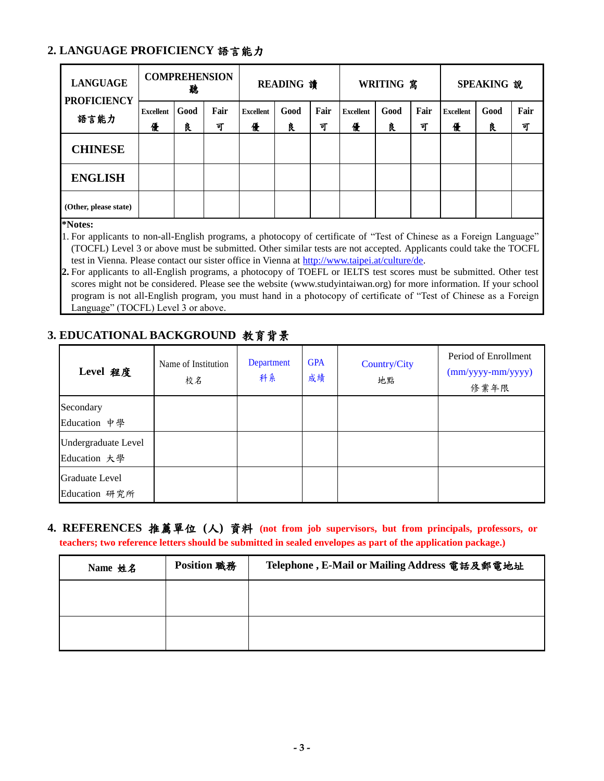## **2. LANGUAGE PROFICIENCY** 語言能力

| <b>LANGUAGE</b><br><b>PROFICIENCY</b><br>語言能力 | <b>COMPREHENSION</b><br>聽 |           | <b>READING 讀</b> |                       | <b>WRITING</b> 寫 |           | SPEAKING 說            |           |           |                       |           |           |
|-----------------------------------------------|---------------------------|-----------|------------------|-----------------------|------------------|-----------|-----------------------|-----------|-----------|-----------------------|-----------|-----------|
|                                               | <b>Excellent</b><br>優     | Good<br>良 | Fair<br>可        | <b>Excellent</b><br>優 | Good<br>良        | Fair<br>可 | <b>Excellent</b><br>優 | Good<br>良 | Fair<br>可 | <b>Excellent</b><br>優 | Good<br>良 | Fair<br>च |
| <b>CHINESE</b>                                |                           |           |                  |                       |                  |           |                       |           |           |                       |           |           |
| <b>ENGLISH</b>                                |                           |           |                  |                       |                  |           |                       |           |           |                       |           |           |
| (Other, please state)                         |                           |           |                  |                       |                  |           |                       |           |           |                       |           |           |

**\*Notes:**

1. For applicants to non-all-English programs, a photocopy of certificate of "Test of Chinese as a Foreign Language" (TOCFL) Level 3 or above must be submitted. Other similar tests are not accepted. Applicants could take the TOCFL test in Vienna. Please contact our sister office in Vienna at [http://www.taipei.at/culture/de.](http://www.taipei.at/culture/de)

**2.** For applicants to all-English programs, a photocopy of TOEFL or IELTS test scores must be submitted. Other test scores might not be considered. Please see the website (www.studyintaiwan.org) for more information. If your school program is not all-English program, you must hand in a photocopy of certificate of "Test of Chinese as a Foreign Language" (TOCFL) Level 3 or above.

## **3. EDUCATIONAL BACKGROUND** 教育背景

| Level 程度                               | Name of Institution<br>校名 | Department<br>科系 | <b>GPA</b><br>成績 | Country/City<br>地點 | Period of Enrollment<br>$(mm/yyyy-mm/yyyy)$<br>修業年限 |
|----------------------------------------|---------------------------|------------------|------------------|--------------------|-----------------------------------------------------|
| Secondary<br>Education 中學              |                           |                  |                  |                    |                                                     |
| Undergraduate Level<br>Education 大學    |                           |                  |                  |                    |                                                     |
| <b>Graduate Level</b><br>Education 研究所 |                           |                  |                  |                    |                                                     |

**4. REFERENCES** 推薦單位 **(**人**)** 資料 **(not from job supervisors, but from principals, professors, or teachers; two reference letters should be submitted in sealed envelopes as part of the application package.)**

| Name 姓名 | <b>Position 職務</b> | Telephone, E-Mail or Mailing Address 電話及郵電地址 |
|---------|--------------------|----------------------------------------------|
|         |                    |                                              |
|         |                    |                                              |
|         |                    |                                              |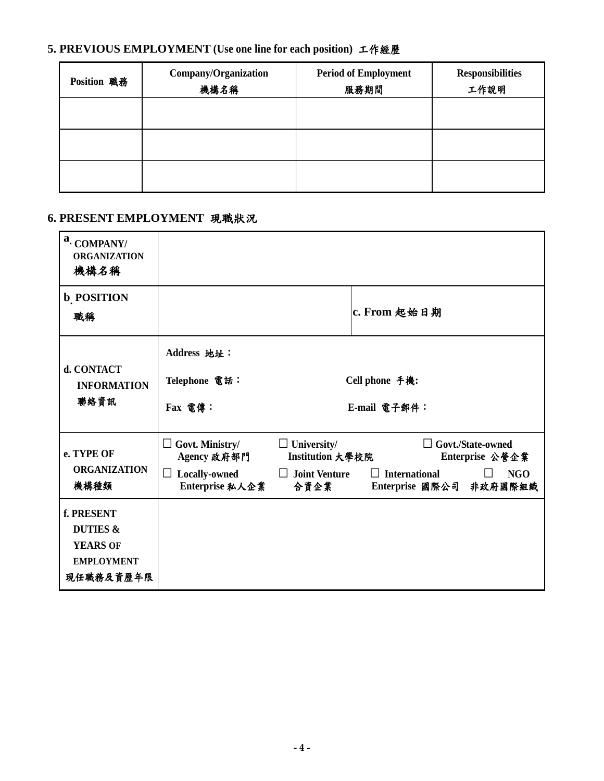# **5. PREVIOUS EMPLOYMENT (Use one line for each position)** 工作經歷

| Position 職務 | Company/Organization<br>機構名稱 | <b>Period of Employment</b><br>服務期間 | <b>Responsibilities</b><br>工作說明 |
|-------------|------------------------------|-------------------------------------|---------------------------------|
|             |                              |                                     |                                 |
|             |                              |                                     |                                 |
|             |                              |                                     |                                 |

## **6. PRESENT EMPLOYMENT** 現職狀況

| a. COMPANY/<br><b>ORGANIZATION</b><br>機構名稱                                             |                                                     |                                        |                                                 |                                             |
|----------------------------------------------------------------------------------------|-----------------------------------------------------|----------------------------------------|-------------------------------------------------|---------------------------------------------|
| <b>b</b> POSITION<br>職稱                                                                |                                                     |                                        | c. From 起始日期                                    |                                             |
| d. CONTACT<br><b>INFORMATION</b><br>聯絡資訊                                               | Address 地址:<br>Telephone 電話:<br>Fax 電傳:             |                                        | Cell phone 手機:<br>E-mail 電子郵件:                  |                                             |
| e. TYPE OF                                                                             | $\Box$ Govt. Ministry/<br>Agency 政府部門               | $\Box$ University/<br>Institution 大學校院 |                                                 | $\Box$ Govt./State-owned<br>Enterprise 公營企業 |
| <b>ORGANIZATION</b><br>機構種類                                                            | <b>Locally-owned</b><br>$\sqcup$<br>Enterprise 私人企業 | $\Box$ Joint Venture<br>合資企業           | $\Box$ International<br>Enterprise 國際公司 非政府國際組織 | <b>NGO</b>                                  |
| f. PRESENT<br><b>DUTIES &amp;</b><br><b>YEARS OF</b><br><b>EMPLOYMENT</b><br>現任職務及資歷年限 |                                                     |                                        |                                                 |                                             |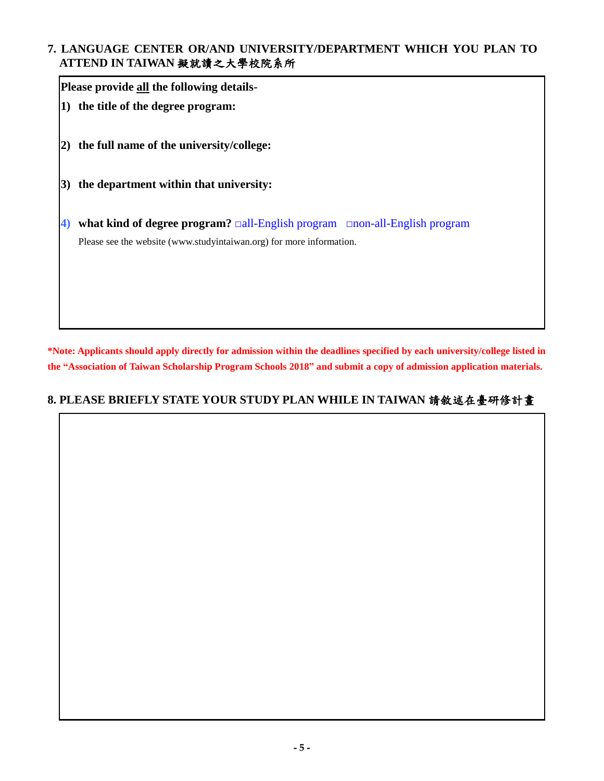## **7. LANGUAGE CENTER OR/AND UNIVERSITY/DEPARTMENT WHICH YOU PLAN TO ATTEND IN TAIWAN** 擬就讀之大學校院系所

**Please provide all the following details-1) the title of the degree program: 2) the full name of the university/college: 3) the department within that university: 4) what kind of degree program?** □all-English program □non-all-English program Please see the website (www.studyintaiwan.org) for more information.

**\*Note: Applicants should apply directly for admission within the deadlines specified by each university/college listed in the "Association of Taiwan Scholarship Program Schools 2018" and submit a copy of admission application materials.**

## **8. PLEASE BRIEFLY STATE YOUR STUDY PLAN WHILE IN TAIWAN** 請敘述在臺研修計畫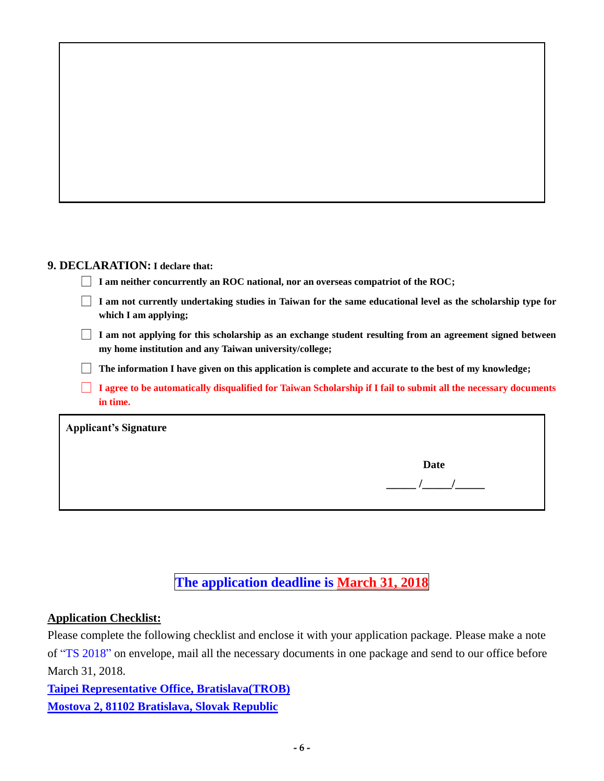#### **9. DECLARATION: I declare that:**

| $\Box$ I am neither concurrently an ROC national, nor an overseas compatriot of the ROC; |  |  |
|------------------------------------------------------------------------------------------|--|--|
|                                                                                          |  |  |

□ **I am not currently undertaking studies in Taiwan for the same educational level as the scholarship type for which I am applying;**

□ **I am not applying for this scholarship as an exchange student resulting from an agreement signed between my home institution and any Taiwan university/college;**

□ **The information I have given on this application is complete and accurate to the best of my knowledge;**

□ **I agree to be automatically disqualified for Taiwan Scholarship if I fail to submit all the necessary documents in time.**

**Applicant's Signature** 

**Date** 

 **\_\_\_\_\_ /\_\_\_\_\_/\_\_\_\_\_**

# **The application deadline is March 31, 2018**

#### **Application Checklist:**

Please complete the following checklist and enclose it with your application package. Please make a note of "TS 2018" on envelope, mail all the necessary documents in one package and send to our office before March 31, 2018.

**Taipei Representative Office, Bratislava(TROB) Mostova 2, 81102 Bratislava, Slovak Republic**